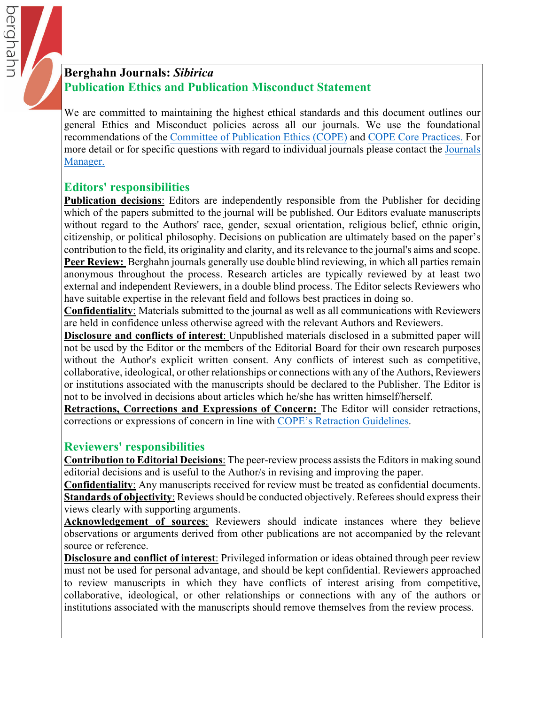

We are committed to maintaining the highest ethical standards and this document outlines our general Ethics and Misconduct policies across all our journals. We use the foundational recommendations of the [Committee of Publication Ethics \(COPE](https://publicationethics.org)) and [COPE Core Practices](https://publicationethics.org/files/editable-bean/COPE_Core_Practices_0.pdf). For more detail or for specific questions with regard to individual journals please contact the Journals Manager.

# **Editors' responsibilities**

berghahr

**Publication decisions**: Editors are independently responsible from the Publisher for deciding which of the papers submitted to the journal will be published. Our Editors evaluate manuscripts without regard to the Authors' race, gender, sexual orientation, religious belief, ethnic origin, citizenship, or political philosophy. Decisions on publication are ultimately based on the paper's contribution to the field, its originality and clarity, and its relevance to the journal's aims and scope. **Peer Review:** Berghahn journals generally use double blind reviewing, in which all parties remain anonymous throughout the process. Research articles are typically reviewed by at least two external and independent Reviewers, in a double blind process. The Editor selects Reviewers who have suitable expertise in the relevant field and follows best practices in doing so.

**Confidentiality**: Materials submitted to the journal as well as all communications with Reviewers are held in confidence unless otherwise agreed with the relevant Authors and Reviewers.

**Disclosure and conflicts of interest**: Unpublished materials disclosed in a submitted paper will not be used by the Editor or the members of the Editorial Board for their own research purposes without the Author's explicit written consent. Any conflicts of interest such as competitive, collaborative, ideological, or other relationships or connections with any of the Authors, Reviewers or institutions associated with the manuscripts should be declared to the Publisher. The Editor is not to be involved in decisions about articles which he/she has written himself/herself.

**Retractions, Corrections and Expressions of Concern:** The Editor will consider retractions, corrections or expressions of concern in line with [COPE's Retraction Guidelines](https://publicationethics.org/retraction-guidelines).

# **Reviewers' responsibilities**

**Contribution to Editorial Decisions**: The peer-review process assists the Editors in making sound editorial decisions and is useful to the Author/s in revising and improving the paper.

**Confidentiality**: Any manuscripts received for review must be treated as confidential documents. **Standards of objectivity**: Reviews should be conducted objectively. Referees should express their views clearly with supporting arguments.

**Acknowledgement of sources**: Reviewers should indicate instances where they believe observations or arguments derived from other publications are not accompanied by the relevant source or reference.

**Disclosure and conflict of interest**: Privileged information or ideas obtained through peer review must not be used for personal advantage, and should be kept confidential. Reviewers approached to review manuscripts in which they have conflicts of interest arising from competitive, collaborative, ideological, or other relationships or connections with any of the authors or institutions associated with the manuscripts should remove themselves from the review process.